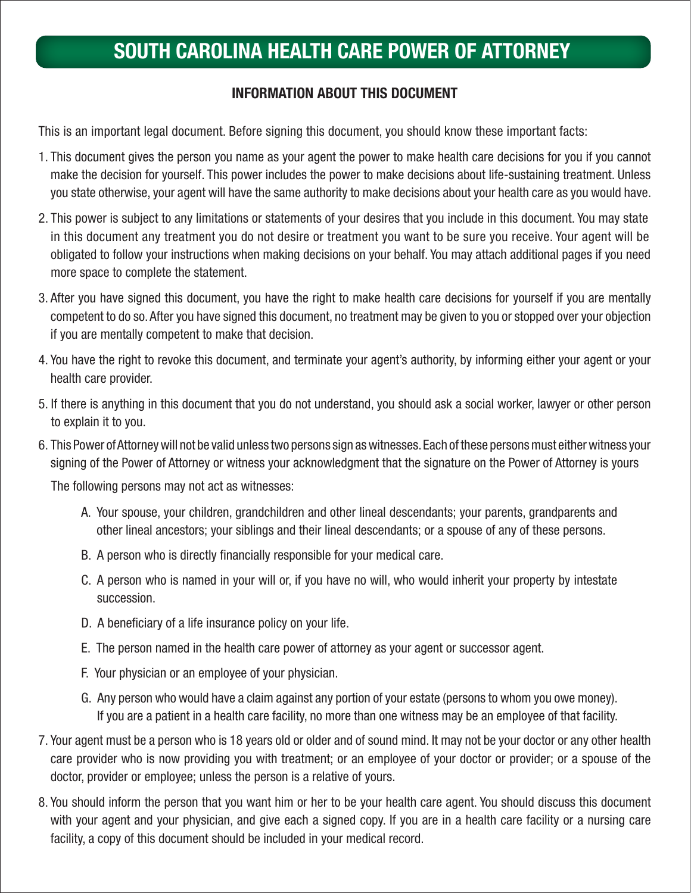# INFORMATION ABOUT THIS DOCUMENT

This is an important legal document. Before signing this document, you should know these important facts:

- 1. This document gives the person you name as your agent the power to make health care decisions for you if you cannot make the decision for yourself. This power includes the power to make decisions about life-sustaining treatment. Unless you state otherwise, your agent will have the same authority to make decisions about your health care as you would have.
- 2. This power is subject to any limitations or statements of your desires that you include in this document. You may state in this document any treatment you do not desire or treatment you want to be sure you receive. Your agent will be obligated to follow your instructions when making decisions on your behalf. You may attach additional pages if you need more space to complete the statement.
- 3. After you have signed this document, you have the right to make health care decisions for yourself if you are mentally competent to do so. After you have signed this document, no treatment may be given to you or stopped over your objection if you are mentally competent to make that decision.
- 4. You have the right to revoke this document, and terminate your agent's authority, by informing either your agent or your health care provider.
- 5. If there is anything in this document that you do not understand, you should ask a social worker, lawyer or other person to explain it to you.
- 6. This Power of Attorney will not be valid unless two persons sign as witnesses. Each of these persons must either witness your signing of the Power of Attorney or witness your acknowledgment that the signature on the Power of Attorney is yours

The following persons may not act as witnesses:

- A. Your spouse, your children, grandchildren and other lineal descendants; your parents, grandparents and other lineal ancestors; your siblings and their lineal descendants; or a spouse of any of these persons.
- B. A person who is directly financially responsible for your medical care.
- C. A person who is named in your will or, if you have no will, who would inherit your property by intestate succession.
- D. A beneficiary of a life insurance policy on your life.
- E. The person named in the health care power of attorney as your agent or successor agent.
- F. Your physician or an employee of your physician.
- G. Any person who would have a claim against any portion of your estate (persons to whom you owe money). If you are a patient in a health care facility, no more than one witness may be an employee of that facility.
- 7. Your agent must be a person who is 18 years old or older and of sound mind. It may not be your doctor or any other health care provider who is now providing you with treatment; or an employee of your doctor or provider; or a spouse of the doctor, provider or employee; unless the person is a relative of yours.
- 8. You should inform the person that you want him or her to be your health care agent. You should discuss this document with your agent and your physician, and give each a signed copy. If you are in a health care facility or a nursing care facility, a copy of this document should be included in your medical record.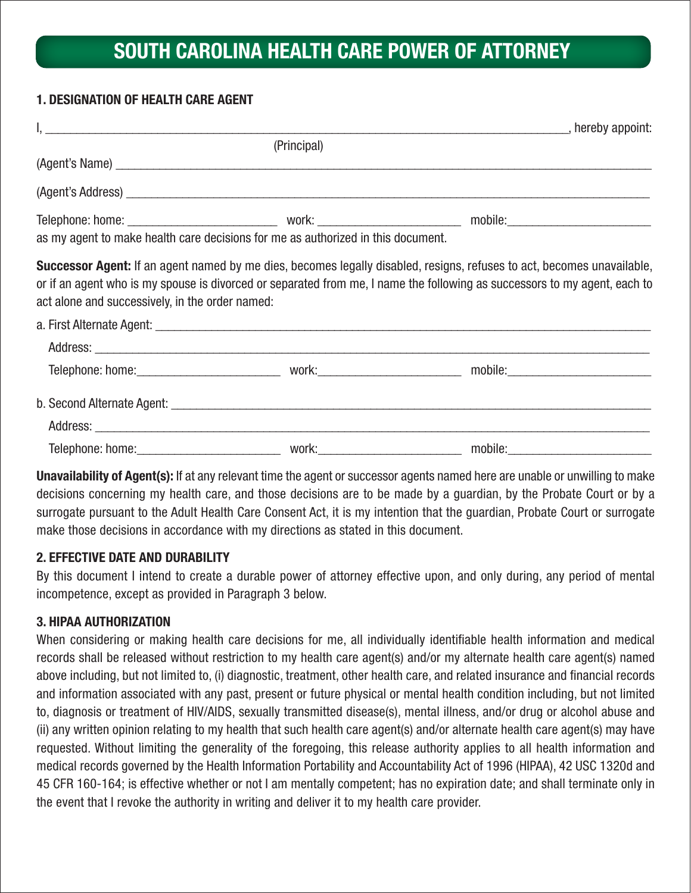#### 1. DESIGNATION OF HEALTH CARE AGENT

|                                                                                  | (Principal) |                                                                                                                                                                                                                                                     |
|----------------------------------------------------------------------------------|-------------|-----------------------------------------------------------------------------------------------------------------------------------------------------------------------------------------------------------------------------------------------------|
|                                                                                  |             |                                                                                                                                                                                                                                                     |
|                                                                                  |             |                                                                                                                                                                                                                                                     |
|                                                                                  |             |                                                                                                                                                                                                                                                     |
| as my agent to make health care decisions for me as authorized in this document. |             |                                                                                                                                                                                                                                                     |
| act alone and successively, in the order named:                                  |             | Successor Agent: If an agent named by me dies, becomes legally disabled, resigns, refuses to act, becomes unavailable,<br>or if an agent who is my spouse is divorced or separated from me, I name the following as successors to my agent, each to |
|                                                                                  |             |                                                                                                                                                                                                                                                     |
|                                                                                  |             |                                                                                                                                                                                                                                                     |
|                                                                                  |             |                                                                                                                                                                                                                                                     |
|                                                                                  |             |                                                                                                                                                                                                                                                     |
|                                                                                  |             |                                                                                                                                                                                                                                                     |
|                                                                                  |             |                                                                                                                                                                                                                                                     |

Unavailability of Agent(s): If at any relevant time the agent or successor agents named here are unable or unwilling to make decisions concerning my health care, and those decisions are to be made by a guardian, by the Probate Court or by a surrogate pursuant to the Adult Health Care Consent Act, it is my intention that the guardian, Probate Court or surrogate make those decisions in accordance with my directions as stated in this document.

#### 2. EFFECTIVE DATE AND DURABILITY

By this document I intend to create a durable power of attorney effective upon, and only during, any period of mental incompetence, except as provided in Paragraph 3 below.

#### 3. HIPAA AUTHORIZATION

When considering or making health care decisions for me, all individually identifiable health information and medical records shall be released without restriction to my health care agent(s) and/or my alternate health care agent(s) named above including, but not limited to, (i) diagnostic, treatment, other health care, and related insurance and financial records and information associated with any past, present or future physical or mental health condition including, but not limited to, diagnosis or treatment of HIV/AIDS, sexually transmitted disease(s), mental illness, and/or drug or alcohol abuse and (ii) any written opinion relating to my health that such health care agent(s) and/or alternate health care agent(s) may have requested. Without limiting the generality of the foregoing, this release authority applies to all health information and medical records governed by the Health Information Portability and Accountability Act of 1996 (HIPAA), 42 USC 1320d and 45 CFR 160-164; is effective whether or not I am mentally competent; has no expiration date; and shall terminate only in the event that I revoke the authority in writing and deliver it to my health care provider.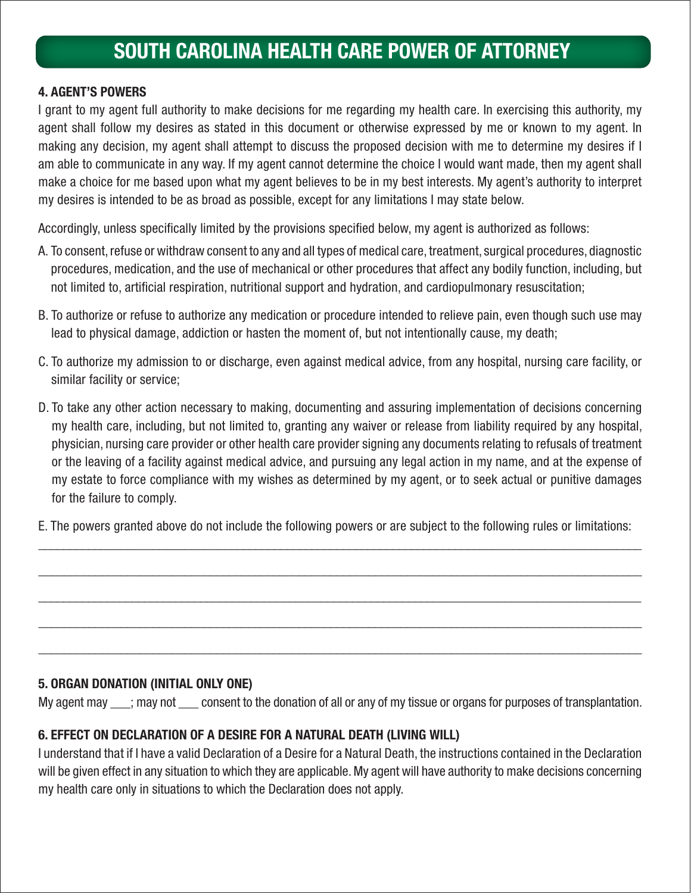#### 4. AGENT'S POWERS

I grant to my agent full authority to make decisions for me regarding my health care. In exercising this authority, my agent shall follow my desires as stated in this document or otherwise expressed by me or known to my agent. In making any decision, my agent shall attempt to discuss the proposed decision with me to determine my desires if I am able to communicate in any way. If my agent cannot determine the choice I would want made, then my agent shall make a choice for me based upon what my agent believes to be in my best interests. My agent's authority to interpret my desires is intended to be as broad as possible, except for any limitations I may state below.

Accordingly, unless specifically limited by the provisions specified below, my agent is authorized as follows:

- A. To consent, refuse or withdraw consent to any and all types of medical care, treatment, surgical procedures, diagnostic procedures, medication, and the use of mechanical or other procedures that affect any bodily function, including, but not limited to, artificial respiration, nutritional support and hydration, and cardiopulmonary resuscitation;
- B. To authorize or refuse to authorize any medication or procedure intended to relieve pain, even though such use may lead to physical damage, addiction or hasten the moment of, but not intentionally cause, my death;
- C. To authorize my admission to or discharge, even against medical advice, from any hospital, nursing care facility, or similar facility or service;
- D. To take any other action necessary to making, documenting and assuring implementation of decisions concerning my health care, including, but not limited to, granting any waiver or release from liability required by any hospital, physician, nursing care provider or other health care provider signing any documents relating to refusals of treatment or the leaving of a facility against medical advice, and pursuing any legal action in my name, and at the expense of my estate to force compliance with my wishes as determined by my agent, or to seek actual or punitive damages for the failure to comply.

E. The powers granted above do not include the following powers or are subject to the following rules or limitations: \_\_\_\_\_\_\_\_\_\_\_\_\_\_\_\_\_\_\_\_\_\_\_\_\_\_\_\_\_\_\_\_\_\_\_\_\_\_\_\_\_\_\_\_\_\_\_\_\_\_\_\_\_\_\_\_\_\_\_\_\_\_\_\_\_\_\_\_\_\_\_\_\_\_\_\_\_\_\_\_\_\_\_\_\_\_\_\_\_\_\_\_\_\_\_

\_\_\_\_\_\_\_\_\_\_\_\_\_\_\_\_\_\_\_\_\_\_\_\_\_\_\_\_\_\_\_\_\_\_\_\_\_\_\_\_\_\_\_\_\_\_\_\_\_\_\_\_\_\_\_\_\_\_\_\_\_\_\_\_\_\_\_\_\_\_\_\_\_\_\_\_\_\_\_\_\_\_\_\_\_\_\_\_\_\_\_\_\_\_\_

\_\_\_\_\_\_\_\_\_\_\_\_\_\_\_\_\_\_\_\_\_\_\_\_\_\_\_\_\_\_\_\_\_\_\_\_\_\_\_\_\_\_\_\_\_\_\_\_\_\_\_\_\_\_\_\_\_\_\_\_\_\_\_\_\_\_\_\_\_\_\_\_\_\_\_\_\_\_\_\_\_\_\_\_\_\_\_\_\_\_\_\_\_\_\_

\_\_\_\_\_\_\_\_\_\_\_\_\_\_\_\_\_\_\_\_\_\_\_\_\_\_\_\_\_\_\_\_\_\_\_\_\_\_\_\_\_\_\_\_\_\_\_\_\_\_\_\_\_\_\_\_\_\_\_\_\_\_\_\_\_\_\_\_\_\_\_\_\_\_\_\_\_\_\_\_\_\_\_\_\_\_\_\_\_\_\_\_\_\_\_

\_\_\_\_\_\_\_\_\_\_\_\_\_\_\_\_\_\_\_\_\_\_\_\_\_\_\_\_\_\_\_\_\_\_\_\_\_\_\_\_\_\_\_\_\_\_\_\_\_\_\_\_\_\_\_\_\_\_\_\_\_\_\_\_\_\_\_\_\_\_\_\_\_\_\_\_\_\_\_\_\_\_\_\_\_\_\_\_\_\_\_\_\_\_\_

#### 5. ORGAN DONATION (INITIAL ONLY ONE)

My agent may <sub>\_\_\_</sub>; may not \_\_\_\_ consent to the donation of all or any of my tissue or organs for purposes of transplantation.

#### 6. EFFECT ON DECLARATION OF A DESIRE FOR A NATURAL DEATH (LIVING WILL)

I understand that if I have a valid Declaration of a Desire for a Natural Death, the instructions contained in the Declaration will be given effect in any situation to which they are applicable. My agent will have authority to make decisions concerning my health care only in situations to which the Declaration does not apply.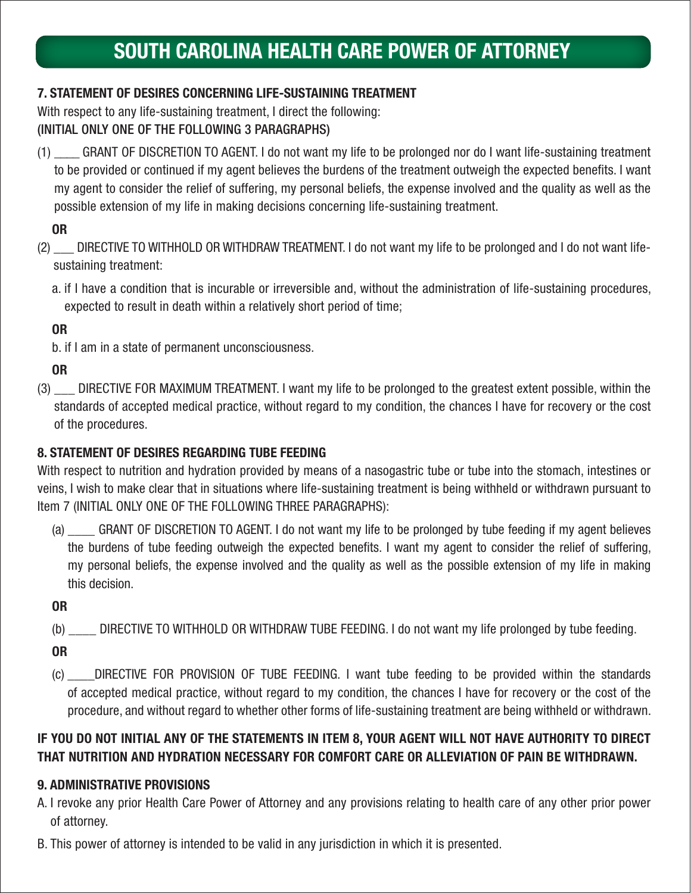# 7. STATEMENT OF DESIRES CONCERNING LIFE-SUSTAINING TREATMENT

With respect to any life-sustaining treatment, I direct the following:

### (INITIAL ONLY ONE OF THE FOLLOWING 3 PARAGRAPHS)

(1) \_\_\_\_ GRANT OF DISCRETION TO AGENT. I do not want my life to be prolonged nor do I want life-sustaining treatment to be provided or continued if my agent believes the burdens of the treatment outweigh the expected benefits. I want my agent to consider the relief of suffering, my personal beliefs, the expense involved and the quality as well as the possible extension of my life in making decisions concerning life-sustaining treatment.

# OR

- (2) \_\_\_ DIRECTIVE TO WITHHOLD OR WITHDRAW TREATMENT. I do not want my life to be prolonged and I do not want lifesustaining treatment:
	- a. if I have a condition that is incurable or irreversible and, without the administration of life-sustaining procedures, expected to result in death within a relatively short period of time;

# OR

b. if I am in a state of permanent unconsciousness.

OR

(3) \_\_\_ DIRECTIVE FOR MAXIMUM TREATMENT. I want my life to be prolonged to the greatest extent possible, within the standards of accepted medical practice, without regard to my condition, the chances I have for recovery or the cost of the procedures.

# 8. STATEMENT OF DESIRES REGARDING TUBE FEEDING

With respect to nutrition and hydration provided by means of a nasogastric tube or tube into the stomach, intestines or veins, I wish to make clear that in situations where life-sustaining treatment is being withheld or withdrawn pursuant to Item 7 (INITIAL ONLY ONE OF THE FOLLOWING THREE PARAGRAPHS):

 (a) \_\_\_\_ GRANT OF DISCRETION TO AGENT. I do not want my life to be prolonged by tube feeding if my agent believes the burdens of tube feeding outweigh the expected benefits. I want my agent to consider the relief of suffering, my personal beliefs, the expense involved and the quality as well as the possible extension of my life in making this decision.

# OR

(b) \_\_\_\_ DIRECTIVE TO WITHHOLD OR WITHDRAW TUBE FEEDING. I do not want my life prolonged by tube feeding.

OR

 (c) \_\_\_\_DIRECTIVE FOR PROVISION OF TUBE FEEDING. I want tube feeding to be provided within the standards of accepted medical practice, without regard to my condition, the chances I have for recovery or the cost of the procedure, and without regard to whether other forms of life-sustaining treatment are being withheld or withdrawn.

# IF YOU DO NOT INITIAL ANY OF THE STATEMENTS IN ITEM 8, YOUR AGENT WILL NOT HAVE AUTHORITY TO DIRECT THAT NUTRITION AND HYDRATION NECESSARY FOR COMFORT CARE OR ALLEVIATION OF PAIN BE WITHDRAWN.

# 9. ADMINISTRATIVE PROVISIONS

- A. I revoke any prior Health Care Power of Attorney and any provisions relating to health care of any other prior power of attorney.
- B. This power of attorney is intended to be valid in any jurisdiction in which it is presented.